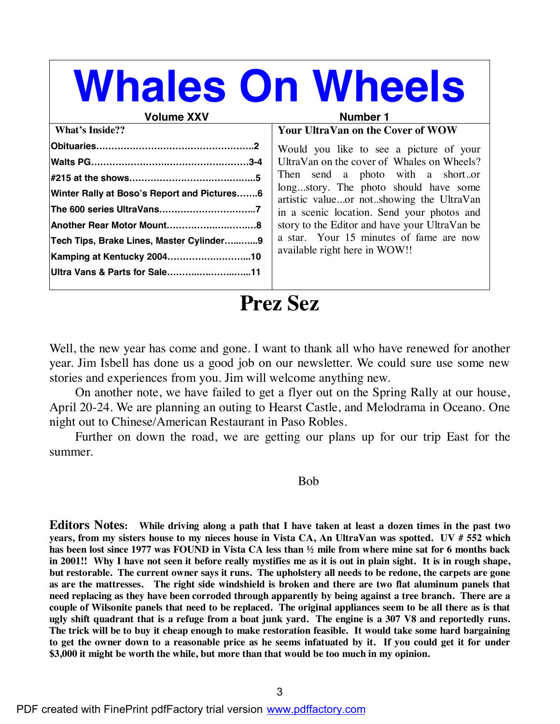# **Whales On Wheels**

#### **Volume XXV** Number 1

### **Your UltraVan on the Cover of WOW**

| <b>What's Inside??</b>                      |
|---------------------------------------------|
|                                             |
|                                             |
|                                             |
| Winter Rally at Boso's Report and Pictures6 |
|                                             |
| Another Rear Motor Mount8                   |
| Tech Tips, Brake Lines, Master Cylinder9    |
| Kamping at Kentucky 200410                  |
| Ultra Vans & Parts for Sale11               |
|                                             |

Would you like to see a picture of your UltraVan on the cover of Whales on Wheels? Then send a photo with a short..or long...story. The photo should have some artistic value...or not..showing the UltraVan in a scenic location. Send your photos and story to the Editor and have your UltraVan be a star. Your 15 minutes of fame are now available right here in WOW!!

**Prez Sez**

Well, the new year has come and gone. I want to thank all who have renewed for another year. Jim Isbell has done us a good job on our newsletter. We could sure use some new stories and experiences from you. Jim will welcome anything new.

 On another note, we have failed to get a flyer out on the Spring Rally at our house, April 20-24. We are planning an outing to Hearst Castle, and Melodrama in Oceano. One night out to Chinese/American Restaurant in Paso Robles.

 Further on down the road, we are getting our plans up for our trip East for the summer.

Bob

Editors Notes: While driving along a path that I have taken at least a dozen times in the past two years, from my sisters house to my nieces house in Vista CA, An UltraVan was spotted. UV # 552 which has been lost since 1977 was FOUND in Vista CA less than  $\frac{1}{2}$  mile from where mine sat for 6 months back in 2001!! Why I have not seen it before really mystifies me as it is out in plain sight. It is in rough shape, **but restorable. The current owner says it runs. The upholstery all needs to be redone, the carpets are gone as are the mattresses. The right side windshield is broken and there are two flat aluminum panels that need replacing as they have been corroded through apparently by being against a tree branch. There are a** couple of Wilsonite panels that need to be replaced. The original appliances seem to be all there as is that ugly shift quadrant that is a refuge from a boat junk yard. The engine is a 307 V8 and reportedly runs. The trick will be to buy it cheap enough to make restoration feasible. It would take some hard bargaining to get the owner down to a reasonable price as he seems infatuated by it. If you could get it for under **\$3,000 it might be worth the while, but more than that would be too much in my opinion.**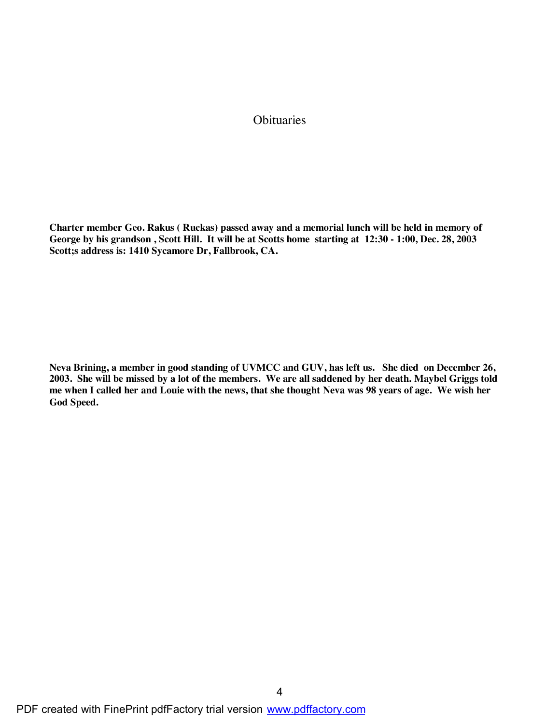#### **Obituaries**

**Charter member Geo. Rakus ( Ruckas) passed away and a memorial lunch will be held in memory of George by his grandson , Scott Hill. It will be at Scotts home starting at 12:30 - 1:00, Dec. 28, 2003 Scott;s address is: 1410 Sycamore Dr, Fallbrook, CA.**

**Neva Brining, a member in good standing of UVMCC and GUV, has left us. She died on December 26, 2003. She will be missed by a lot of the members. We are all saddened by her death. Maybel Griggs told me when I called her and Louie with the news, that she thought Neva was 98 years of age. We wish her God Speed.**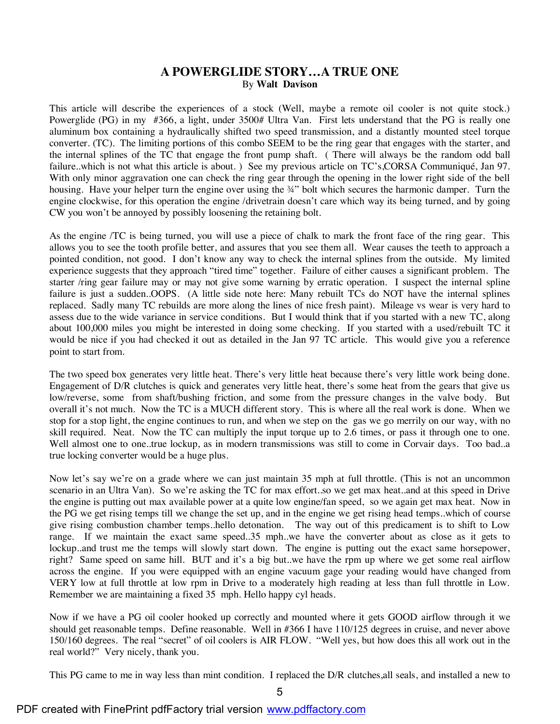#### **A POWERGLIDE STORY…A TRUE ONE** By **Walt Davison**

This article will describe the experiences of a stock (Well, maybe a remote oil cooler is not quite stock.) Powerglide (PG) in my #366, a light, under 3500# Ultra Van. First lets understand that the PG is really one aluminum box containing a hydraulically shifted two speed transmission, and a distantly mounted steel torque converter. (TC). The limiting portions of this combo SEEM to be the ring gear that engages with the starter, and the internal splines of the TC that engage the front pump shaft. ( There will always be the random odd ball failure..which is not what this article is about. ) See my previous article on TC's,CORSA Communiqué, Jan 97. With only minor aggravation one can check the ring gear through the opening in the lower right side of the bell housing. Have your helper turn the engine over using the ¼" bolt which secures the harmonic damper. Turn the engine clockwise, for this operation the engine /drivetrain doesn't care which way its being turned, and by going CW you won't be annoyed by possibly loosening the retaining bolt.

As the engine /TC is being turned, you will use a piece of chalk to mark the front face of the ring gear. This allows you to see the tooth profile better, and assures that you see them all. Wear causes the teeth to approach a pointed condition, not good. I don't know any way to check the internal splines from the outside. My limited experience suggests that they approach "tired time" together. Failure of either causes a significant problem. The starter /ring gear failure may or may not give some warning by erratic operation. I suspect the internal spline failure is just a sudden..OOPS. (A little side note here: Many rebuilt TCs do NOT have the internal splines replaced. Sadly many TC rebuilds are more along the lines of nice fresh paint). Mileage vs wear is very hard to assess due to the wide variance in service conditions. But I would think that if you started with a new TC, along about 100,000 miles you might be interested in doing some checking. If you started with a used/rebuilt TC it would be nice if you had checked it out as detailed in the Jan 97 TC article. This would give you a reference point to start from.

The two speed box generates very little heat. There's very little heat because there's very little work being done. Engagement of D/R clutches is quick and generates very little heat, there's some heat from the gears that give us low/reverse, some from shaft/bushing friction, and some from the pressure changes in the valve body. But overall it's not much. Now the TC is a MUCH different story. This is where all the real work is done. When we stop for a stop light, the engine continues to run, and when we step on the gas we go merrily on our way, with no skill required. Neat. Now the TC can multiply the input torque up to 2.6 times, or pass it through one to one. Well almost one to one..true lockup, as in modern transmissions was still to come in Corvair days. Too bad..a true locking converter would be a huge plus.

Now let's say we're on a grade where we can just maintain 35 mph at full throttle. (This is not an uncommon scenario in an Ultra Van). So we're asking the TC for max effort..so we get max heat..and at this speed in Drive the engine is putting out max available power at a quite low engine/fan speed, so we again get max heat. Now in the PG we get rising temps till we change the set up, and in the engine we get rising head temps..which of course give rising combustion chamber temps..hello detonation. The way out of this predicament is to shift to Low range. If we maintain the exact same speed..35 mph..we have the converter about as close as it gets to lockup..and trust me the temps will slowly start down. The engine is putting out the exact same horsepower, right? Same speed on same hill. BUT and it's a big but..we have the rpm up where we get some real airflow across the engine. If you were equipped with an engine vacuum gage your reading would have changed from VERY low at full throttle at low rpm in Drive to a moderately high reading at less than full throttle in Low. Remember we are maintaining a fixed 35 mph. Hello happy cyl heads.

Now if we have a PG oil cooler hooked up correctly and mounted where it gets GOOD airflow through it we should get reasonable temps. Define reasonable. Well in #366 I have 110/125 degrees in cruise, and never above 150/160 degrees. The real "secret" of oil coolers is AIR FLOW. "Well yes, but how does this all work out in the real world?" Very nicely, thank you.

This PG came to me in way less than mint condition. I replaced the D/R clutches,all seals, and installed a new to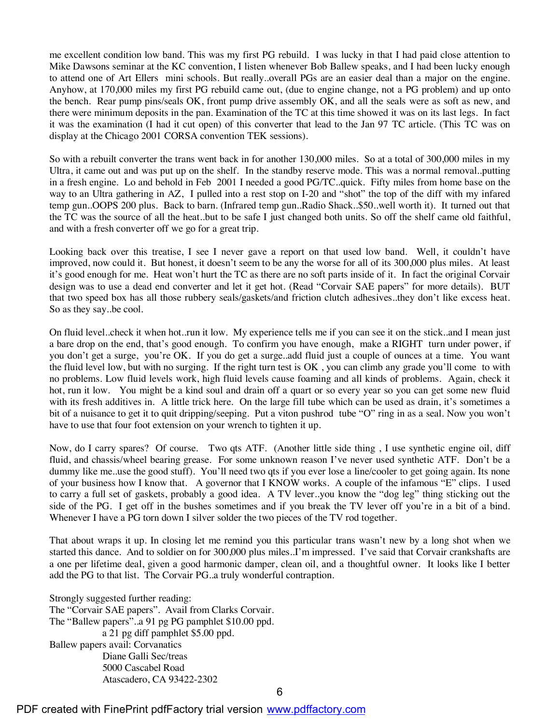me excellent condition low band. This was my first PG rebuild. I was lucky in that I had paid close attention to Mike Dawsons seminar at the KC convention, I listen whenever Bob Ballew speaks, and I had been lucky enough to attend one of Art Ellers mini schools. But really..overall PGs are an easier deal than a major on the engine. Anyhow, at 170,000 miles my first PG rebuild came out, (due to engine change, not a PG problem) and up onto the bench. Rear pump pins/seals OK, front pump drive assembly OK, and all the seals were as soft as new, and there were minimum deposits in the pan. Examination of the TC at this time showed it was on its last legs. In fact it was the examination (I had it cut open) of this converter that lead to the Jan 97 TC article. (This TC was on display at the Chicago 2001 CORSA convention TEK sessions).

So with a rebuilt converter the trans went back in for another 130,000 miles. So at a total of 300,000 miles in my Ultra, it came out and was put up on the shelf. In the standby reserve mode. This was a normal removal..putting in a fresh engine. Lo and behold in Feb 2001 I needed a good PG/TC..quick. Fifty miles from home base on the way to an Ultra gathering in AZ, I pulled into a rest stop on I-20 and "shot" the top of the diff with my infared temp gun..OOPS 200 plus. Back to barn. (Infrared temp gun..Radio Shack..\$50..well worth it). It turned out that the TC was the source of all the heat..but to be safe I just changed both units. So off the shelf came old faithful, and with a fresh converter off we go for a great trip.

Looking back over this treatise, I see I never gave a report on that used low band. Well, it couldn't have improved, now could it. But honest, it doesn't seem to be any the worse for all of its 300,000 plus miles. At least it's good enough for me. Heat won't hurt the TC as there are no soft parts inside of it. In fact the original Corvair design was to use a dead end converter and let it get hot. (Read "Corvair SAE papers" for more details). BUT that two speed box has all those rubbery seals/gaskets/and friction clutch adhesives..they don't like excess heat. So as they say..be cool.

On fluid level..check it when hot..run it low. My experience tells me if you can see it on the stick..and I mean just a bare drop on the end, that's good enough. To confirm you have enough, make a RIGHT turn under power, if you don't get a surge, you're OK. If you do get a surge..add fluid just a couple of ounces at a time. You want the fluid level low, but with no surging. If the right turn test is OK , you can climb any grade you'll come to with no problems. Low fluid levels work, high fluid levels cause foaming and all kinds of problems. Again, check it hot, run it low. You might be a kind soul and drain off a quart or so every year so you can get some new fluid with its fresh additives in. A little trick here. On the large fill tube which can be used as drain, it's sometimes a bit of a nuisance to get it to quit dripping/seeping. Put a viton pushrod tube "O" ring in as a seal. Now you won't have to use that four foot extension on your wrench to tighten it up.

Now, do I carry spares? Of course. Two qts ATF. (Another little side thing, I use synthetic engine oil, diff fluid, and chassis/wheel bearing grease. For some unknown reason I've never used synthetic ATF. Don't be a dummy like me..use the good stuff). You'll need two qts if you ever lose a line/cooler to get going again. Its none of your business how I know that. A governor that I KNOW works. A couple of the infamous "E" clips. I used to carry a full set of gaskets, probably a good idea. A TV lever..you know the "dog leg" thing sticking out the side of the PG. I get off in the bushes sometimes and if you break the TV lever off you're in a bit of a bind. Whenever I have a PG torn down I silver solder the two pieces of the TV rod together.

That about wraps it up. In closing let me remind you this particular trans wasn't new by a long shot when we started this dance. And to soldier on for 300,000 plus miles..I'm impressed. I've said that Corvair crankshafts are a one per lifetime deal, given a good harmonic damper, clean oil, and a thoughtful owner. It looks like I better add the PG to that list. The Corvair PG..a truly wonderful contraption.

Strongly suggested further reading: The "Corvair SAE papers". Avail from Clarks Corvair. The "Ballew papers"..a 91 pg PG pamphlet \$10.00 ppd. a 21 pg diff pamphlet \$5.00 ppd. Ballew papers avail: Corvanatics Diane Galli Sec/treas 5000 Cascabel Road Atascadero, CA 93422-2302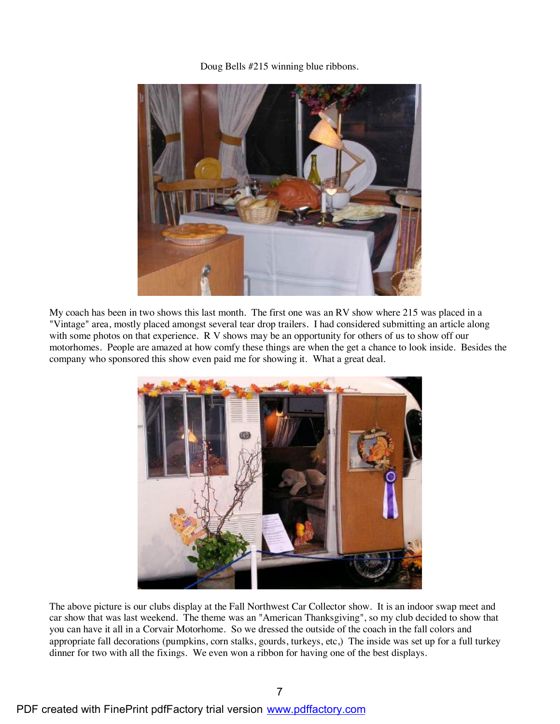Doug Bells #215 winning blue ribbons.



My coach has been in two shows this last month. The first one was an RV show where 215 was placed in a "Vintage" area, mostly placed amongst several tear drop trailers. I had considered submitting an article along with some photos on that experience. R V shows may be an opportunity for others of us to show off our motorhomes. People are amazed at how comfy these things are when the get a chance to look inside. Besides the company who sponsored this show even paid me for showing it. What a great deal.



The above picture is our clubs display at the Fall Northwest Car Collector show. It is an indoor swap meet and car show that was last weekend. The theme was an "American Thanksgiving", so my club decided to show that you can have it all in a Corvair Motorhome. So we dressed the outside of the coach in the fall colors and appropriate fall decorations (pumpkins, corn stalks, gourds, turkeys, etc,) The inside was set up for a full turkey dinner for two with all the fixings. We even won a ribbon for having one of the best displays.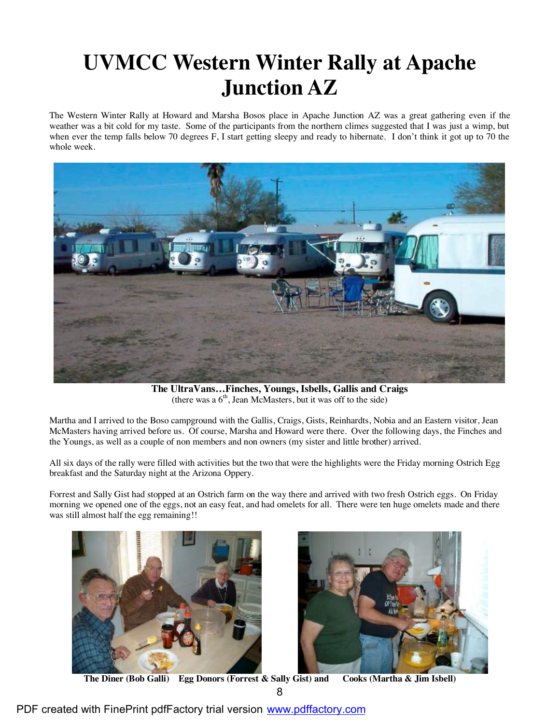# **UVMCC Western Winter Rally at Apache Junction AZ**

The Western Winter Rally at Howard and Marsha Bosos place in Apache Junction AZ was a great gathering even if the weather was a bit cold for my taste. Some of the participants from the northern climes suggested that I was just a wimp, but when ever the temp falls below 70 degrees F, I start getting sleepy and ready to hibernate. I don't think it got up to 70 the whole week.



 **The UltraVans…Finches, Youngs, Isbells, Gallis and Craigs** (there was a  $6<sup>th</sup>$ , Jean McMasters, but it was off to the side)

Martha and I arrived to the Boso campground with the Gallis, Craigs, Gists, Reinhardts, Nobia and an Eastern visitor, Jean McMasters having arrived before us. Of course, Marsha and Howard were there. Over the following days, the Finches and the Youngs, as well as a couple of non members and non owners (my sister and little brother) arrived.

All six days of the rally were filled with activities but the two that were the highlights were the Friday morning Ostrich Egg breakfast and the Saturday night at the Arizona Oppery.

Forrest and Sally Gist had stopped at an Ostrich farm on the way there and arrived with two fresh Ostrich eggs. On Friday morning we opened one of the eggs, not an easy feat, and had omelets for all. There were ten huge omelets made and there was still almost half the egg remaining!!





**The Diner (Bob Galli) Egg Donors (Forrest & Sally Gist) and Cooks (Martha & Jim Isbell)**

PDF created with FinePrint pdfFactory trial version [www.pdffactory.com](http://www.pdffactory.com)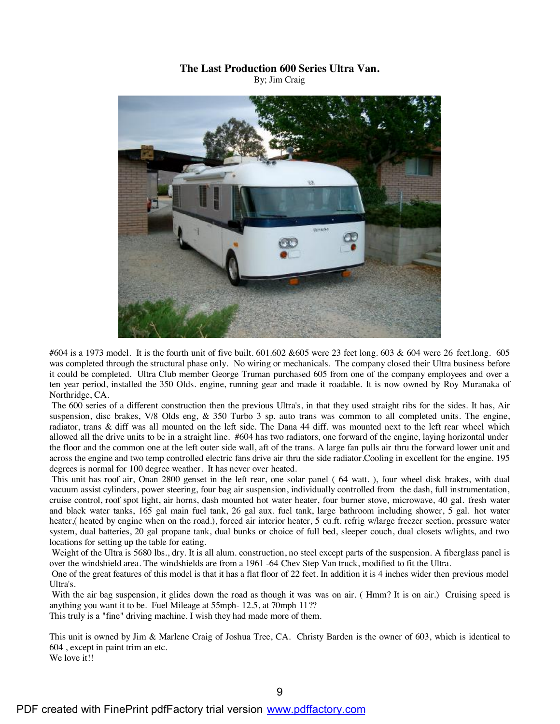#### **The Last Production 600 Series Ultra Van.** By; Jim Craig



#604 is a 1973 model. It is the fourth unit of five built. 601.602 &605 were 23 feet long. 603 & 604 were 26 feet.long. 605 was completed through the structural phase only. No wiring or mechanicals. The company closed their Ultra business before it could be completed. Ultra Club member George Truman purchased 605 from one of the company employees and over a ten year period, installed the 350 Olds. engine, running gear and made it roadable. It is now owned by Roy Muranaka of Northridge, CA.

The 600 series of a different construction then the previous Ultra's, in that they used straight ribs for the sides. It has, Air suspension, disc brakes, V/8 Olds eng, & 350 Turbo 3 sp. auto trans was common to all completed units. The engine, radiator, trans & diff was all mounted on the left side. The Dana 44 diff. was mounted next to the left rear wheel which allowed all the drive units to be in a straight line. #604 has two radiators, one forward of the engine, laying horizontal under the floor and the common one at the left outer side wall, aft of the trans. A large fan pulls air thru the forward lower unit and across the engine and two temp controlled electric fans drive air thru the side radiator.Cooling in excellent for the engine. 195 degrees is normal for 100 degree weather. It has never over heated.

This unit has roof air, Onan 2800 genset in the left rear, one solar panel ( 64 watt. ), four wheel disk brakes, with dual vacuum assist cylinders, power steering, four bag air suspension, individually controlled from the dash, full instrumentation, cruise control, roof spot light, air horns, dash mounted hot water heater, four burner stove, microwave, 40 gal. fresh water and black water tanks, 165 gal main fuel tank, 26 gal aux. fuel tank, large bathroom including shower, 5 gal. hot water heater,( heated by engine when on the road.), forced air interior heater, 5 cu.ft. refrig w/large freezer section, pressure water system, dual batteries, 20 gal propane tank, dual bunks or choice of full bed, sleeper couch, dual closets w/lights, and two locations for setting up the table for eating.

Weight of the Ultra is 5680 lbs., dry. It is all alum. construction, no steel except parts of the suspension. A fiberglass panel is over the windshield area. The windshields are from a 1961 -64 Chev Step Van truck, modified to fit the Ultra.

One of the great features of this model is that it has a flat floor of 22 feet. In addition it is 4 inches wider then previous model Ultra's.

With the air bag suspension, it glides down the road as though it was was on air. (Hmm? It is on air.) Cruising speed is anything you want it to be. Fuel Mileage at 55mph- 12.5, at 70mph 11??

This truly is a "fine" driving machine. I wish they had made more of them.

This unit is owned by Jim & Marlene Craig of Joshua Tree, CA. Christy Barden is the owner of 603, which is identical to 604 , except in paint trim an etc.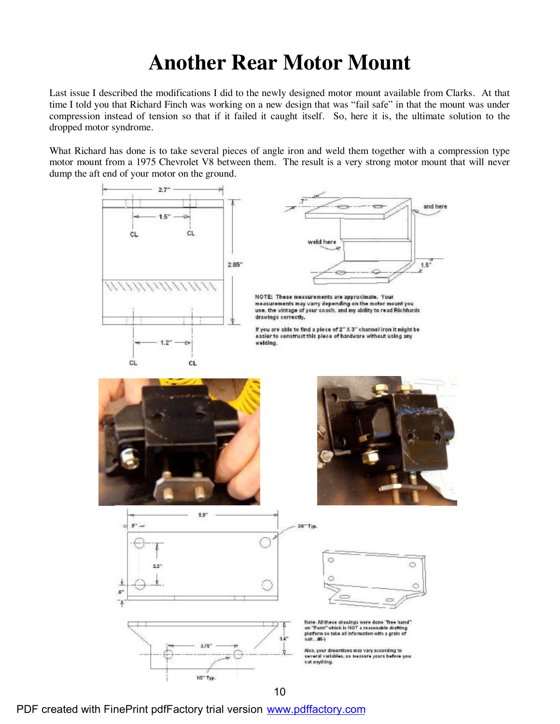## **Another Rear Motor Mount**

Last issue I described the modifications I did to the newly designed motor mount available from Clarks. At that time I told you that Richard Finch was working on a new design that was "fail safe" in that the mount was under compression instead of tension so that if it failed it caught itself. So, here it is, the ultimate solution to the dropped motor syndrome.

What Richard has done is to take several pieces of angle iron and weld them together with a compression type motor mount from a 1975 Chevrolet V8 between them. The result is a very strong motor mount that will never dump the aft end of your motor on the ground.



PDF created with FinePrint pdfFactory trial version [www.pdffactory.com](http://www.pdffactory.com)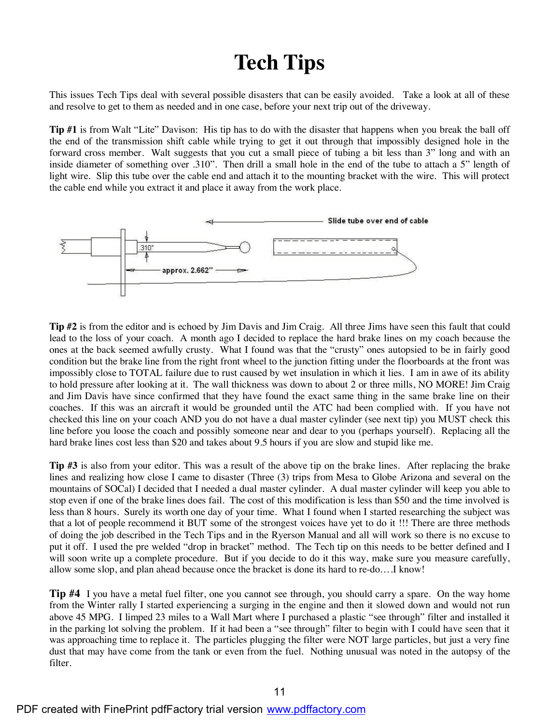## **Tech Tips**

This issues Tech Tips deal with several possible disasters that can be easily avoided. Take a look at all of these and resolve to get to them as needed and in one case, before your next trip out of the driveway.

**Tip #1** is from Walt "Lite" Davison: His tip has to do with the disaster that happens when you break the ball off the end of the transmission shift cable while trying to get it out through that impossibly designed hole in the forward cross member. Walt suggests that you cut a small piece of tubing a bit less than 3" long and with an inside diameter of something over .310". Then drill a small hole in the end of the tube to attach a 5" length of light wire. Slip this tube over the cable end and attach it to the mounting bracket with the wire. This will protect the cable end while you extract it and place it away from the work place.



**Tip #2** is from the editor and is echoed by Jim Davis and Jim Craig. All three Jims have seen this fault that could lead to the loss of your coach. A month ago I decided to replace the hard brake lines on my coach because the ones at the back seemed awfully crusty. What I found was that the "crusty" ones autopsied to be in fairly good condition but the brake line from the right front wheel to the junction fitting under the floorboards at the front was impossibly close to TOTAL failure due to rust caused by wet insulation in which it lies. I am in awe of its ability to hold pressure after looking at it. The wall thickness was down to about 2 or three mills, NO MORE! Jim Craig and Jim Davis have since confirmed that they have found the exact same thing in the same brake line on their coaches. If this was an aircraft it would be grounded until the ATC had been complied with. If you have not checked this line on your coach AND you do not have a dual master cylinder (see next tip) you MUST check this line before you loose the coach and possibly someone near and dear to you (perhaps yourself). Replacing all the hard brake lines cost less than \$20 and takes about 9.5 hours if you are slow and stupid like me.

**Tip #3** is also from your editor. This was a result of the above tip on the brake lines. After replacing the brake lines and realizing how close I came to disaster (Three (3) trips from Mesa to Globe Arizona and several on the mountains of SOCal) I decided that I needed a dual master cylinder. A dual master cylinder will keep you able to stop even if one of the brake lines does fail. The cost of this modification is less than \$50 and the time involved is less than 8 hours. Surely its worth one day of your time. What I found when I started researching the subject was that a lot of people recommend it BUT some of the strongest voices have yet to do it !!! There are three methods of doing the job described in the Tech Tips and in the Ryerson Manual and all will work so there is no excuse to put it off. I used the pre welded "drop in bracket" method. The Tech tip on this needs to be better defined and I will soon write up a complete procedure. But if you decide to do it this way, make sure you measure carefully, allow some slop, and plan ahead because once the bracket is done its hard to re-do….I know!

**Tip #4** I you have a metal fuel filter, one you cannot see through, you should carry a spare. On the way home from the Winter rally I started experiencing a surging in the engine and then it slowed down and would not run above 45 MPG. I limped 23 miles to a Wall Mart where I purchased a plastic "see through" filter and installed it in the parking lot solving the problem. If it had been a "see through" filter to begin with I could have seen that it was approaching time to replace it. The particles plugging the filter were NOT large particles, but just a very fine dust that may have come from the tank or even from the fuel. Nothing unusual was noted in the autopsy of the filter.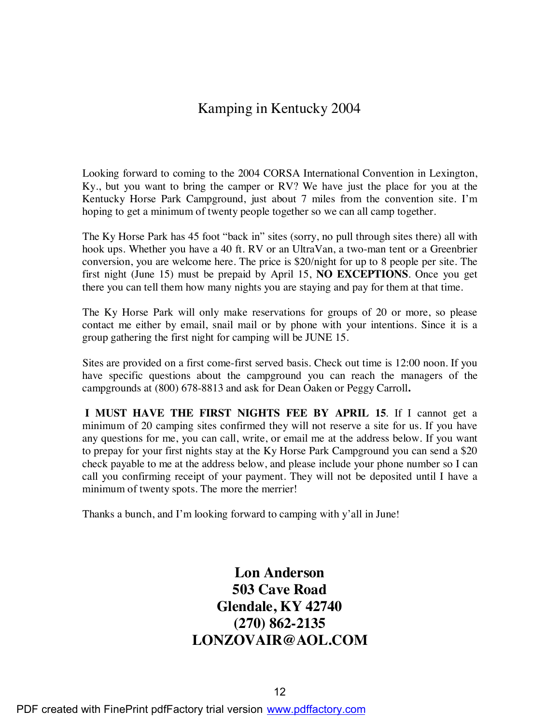#### Kamping in Kentucky 2004

 Looking forward to coming to the 2004 CORSA International Convention in Lexington, Ky., but you want to bring the camper or RV? We have just the place for you at the Kentucky Horse Park Campground, just about 7 miles from the convention site. I'm hoping to get a minimum of twenty people together so we can all camp together.

 The Ky Horse Park has 45 foot "back in" sites (sorry, no pull through sites there) all with hook ups. Whether you have a 40 ft. RV or an UltraVan, a two-man tent or a Greenbrier conversion, you are welcome here. The price is \$20/night for up to 8 people per site. The first night (June 15) must be prepaid by April 15, **NO EXCEPTIONS**. Once you get there you can tell them how many nights you are staying and pay for them at that time.

 The Ky Horse Park will only make reservations for groups of 20 or more, so please contact me either by email, snail mail or by phone with your intentions. Since it is a group gathering the first night for camping will be JUNE 15.

 Sites are provided on a first come-first served basis. Check out time is 12:00 noon. If you have specific questions about the campground you can reach the managers of the campgrounds at (800) 678-8813 and ask for Dean Oaken or Peggy Carroll**.**

**I MUST HAVE THE FIRST NIGHTS FEE BY APRIL 15**. If I cannot get a minimum of 20 camping sites confirmed they will not reserve a site for us. If you have any questions for me, you can call, write, or email me at the address below. If you want to prepay for your first nights stay at the Ky Horse Park Campground you can send a \$20 check payable to me at the address below, and please include your phone number so I can call you confirming receipt of your payment. They will not be deposited until I have a minimum of twenty spots. The more the merrier!

Thanks a bunch, and I'm looking forward to camping with y'all in June!

#### **Lon Anderson 503 Cave Road Glendale, KY 42740 (270) 862-2135 LONZOVAIR@AOL.COM**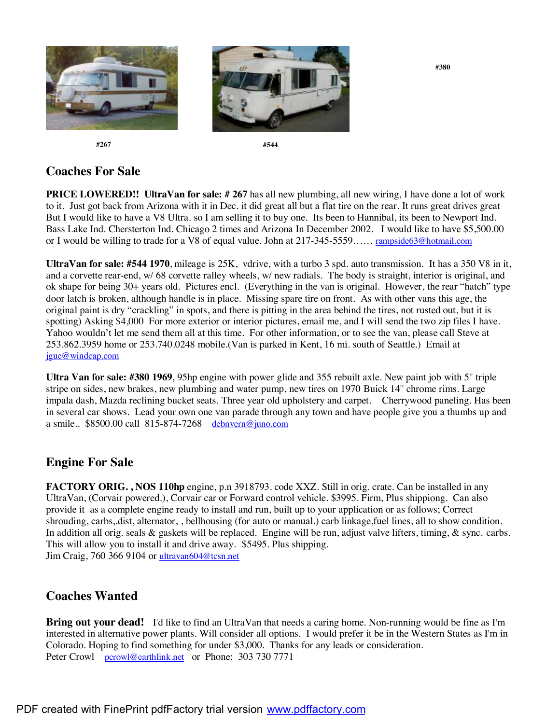

 **#380**

 **#267 #544**

#### **Coaches For Sale**

**PRICE LOWERED!!** UltraVan for sale: # 267 has all new plumbing, all new wiring, I have done a lot of work to it. Just got back from Arizona with it in Dec. it did great all but a flat tire on the rear. It runs great drives great But I would like to have a V8 Ultra. so I am selling it to buy one. Its been to Hannibal, its been to Newport Ind. Bass Lake Ind. Chersterton Ind. Chicago 2 times and Arizona In December 2002. I would like to have \$5,500.00 or I would be willing to trade for a V8 of equal value. John at 217-345-5559…… rampside63@hotmail.com

**UltraVan for sale: #544 1970**, mileage is 25K, vdrive, with a turbo 3 spd. auto transmission. It has a 350 V8 in it, and a corvette rear-end, w/ 68 corvette ralley wheels, w/ new radials. The body is straight, interior is original, and ok shape for being 30+ years old. Pictures encl. (Everything in the van is original. However, the rear "hatch" type door latch is broken, although handle is in place. Missing spare tire on front. As with other vans this age, the original paint is dry "crackling" in spots, and there is pitting in the area behind the tires, not rusted out, but it is spotting) Asking \$4,000 For more exterior or interior pictures, email me, and I will send the two zip files I have. Yahoo wouldn't let me send them all at this time. For other information, or to see the van, please call Steve at 253.862.3959 home or 253.740.0248 mobile.(Van is parked in Kent, 16 mi. south of Seattle.) Email at jgue@windcap.com

**Ultra Van for sale: #380 1969**, 95hp engine with power glide and 355 rebuilt axle. New paint job with 5'' triple stripe on sides, new brakes, new plumbing and water pump, new tires on 1970 Buick 14'' chrome rims. Large impala dash, Mazda reclining bucket seats. Three year old upholstery and carpet. Cherrywood paneling. Has been in several car shows. Lead your own one van parade through any town and have people give you a thumbs up and a smile.. \$8500.00 call 815-874-7268 debnvern@juno.com

#### **Engine For Sale**

**FACTORY ORIG. , NOS 110hp** engine, p.n 3918793. code XXZ. Still in orig. crate. Can be installed in any UltraVan, (Corvair powered.), Corvair car or Forward control vehicle. \$3995. Firm, Plus shippiong. Can also provide it as a complete engine ready to install and run, built up to your application or as follows; Correct shrouding, carbs,.dist, alternator, , bellhousing (for auto or manual.) carb linkage,fuel lines, all to show condition. In addition all orig. seals & gaskets will be replaced. Engine will be run, adjust valve lifters, timing, & sync. carbs. This will allow you to install it and drive away. \$5495. Plus shipping. Jim Craig, 760 366 9104 or ultravan604@tcsn.net

#### **Coaches Wanted**

**Bring out your dead!** I'd like to find an UltraVan that needs a caring home. Non-running would be fine as I'm interested in alternative power plants. Will consider all options. I would prefer it be in the Western States as I'm in Colorado. Hoping to find something for under \$3,000. Thanks for any leads or consideration. Peter Crowl pcrowl@earthlink.net or Phone: 303 730 7771